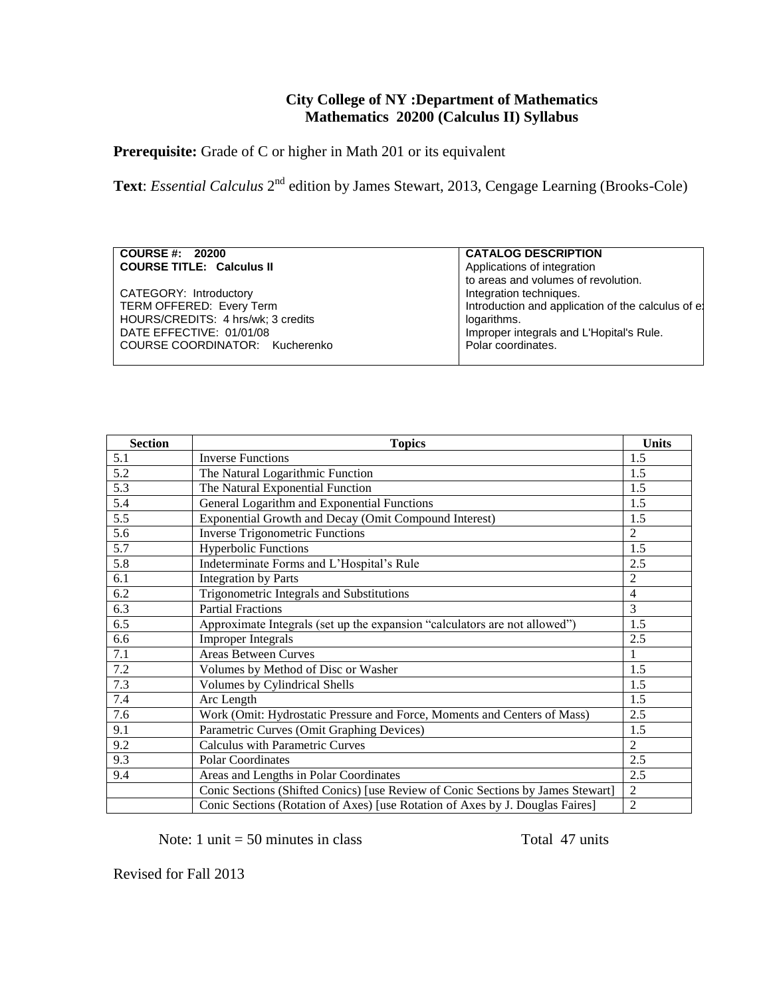# **City College of NY :Department of Mathematics Mathematics 20200 (Calculus II) Syllabus**

Prerequisite: Grade of C or higher in Math 201 or its equivalent

Text: *Essential Calculus* 2<sup>nd</sup> edition by James Stewart, 2013, Cengage Learning (Brooks-Cole)

### **COURSE #: 20200 COURSE TITLE: Calculus II**

CATEGORY: Introductory TERM OFFERED: Every Term HOURS/CREDITS: 4 hrs/wk; 3 credits DATE EFFECTIVE: 01/01/08 COURSE COORDINATOR: Kucherenko

**CATALOG DESCRIPTION**  Applications of integration to areas and volumes of revolution. Integration techniques. Introduction and application of the calculus of el logarithms. Improper integrals and L'Hopital's Rule. Polar coordinates.

| <b>Section</b> | <b>Topics</b>                                                                   | <b>Units</b>   |
|----------------|---------------------------------------------------------------------------------|----------------|
| 5.1            | <b>Inverse Functions</b>                                                        | 1.5            |
| 5.2            | The Natural Logarithmic Function                                                | 1.5            |
| 5.3            | The Natural Exponential Function                                                | 1.5            |
| 5.4            | General Logarithm and Exponential Functions                                     | 1.5            |
| 5.5            | Exponential Growth and Decay (Omit Compound Interest)                           | 1.5            |
| 5.6            | <b>Inverse Trigonometric Functions</b>                                          | $\overline{2}$ |
| 5.7            | <b>Hyperbolic Functions</b>                                                     | 1.5            |
| 5.8            | Indeterminate Forms and L'Hospital's Rule                                       | 2.5            |
| 6.1            | <b>Integration by Parts</b>                                                     | $\overline{2}$ |
| 6.2            | Trigonometric Integrals and Substitutions                                       | $\overline{4}$ |
| 6.3            | <b>Partial Fractions</b>                                                        | 3              |
| 6.5            | Approximate Integrals (set up the expansion "calculators are not allowed")      | 1.5            |
| 6.6            | <b>Improper Integrals</b>                                                       | 2.5            |
| 7.1            | <b>Areas Between Curves</b>                                                     | 1              |
| 7.2            | Volumes by Method of Disc or Washer                                             | 1.5            |
| 7.3            | Volumes by Cylindrical Shells                                                   | 1.5            |
| 7.4            | Arc Length                                                                      | 1.5            |
| 7.6            | Work (Omit: Hydrostatic Pressure and Force, Moments and Centers of Mass)        | 2.5            |
| 9.1            | Parametric Curves (Omit Graphing Devices)                                       | 1.5            |
| 9.2            | <b>Calculus with Parametric Curves</b>                                          | 2              |
| 9.3            | <b>Polar Coordinates</b>                                                        | 2.5            |
| 9.4            | Areas and Lengths in Polar Coordinates                                          | 2.5            |
|                | Conic Sections (Shifted Conics) [use Review of Conic Sections by James Stewart] | $\overline{2}$ |
|                | Conic Sections (Rotation of Axes) [use Rotation of Axes by J. Douglas Faires]   | $\overline{2}$ |

Note:  $1 \text{ unit} = 50 \text{ minutes in class}$  Total 47 units

Revised for Fall 2013